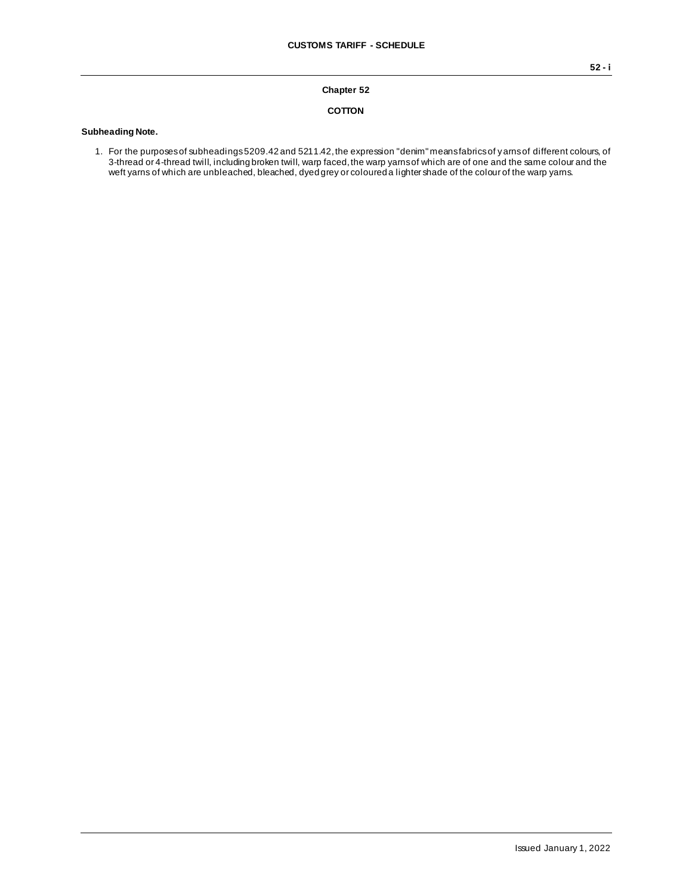#### **Chapter 52**

#### **COTTON**

#### **Subheading Note.**

1. For the purposes of subheadings 5209.42 and 5211.42, the expression "denim" means fabrics of yarns of different colours, of 3-thread or 4-thread twill, including broken twill, warp faced, the warp yarns of which are of one and the same colour and the weft yarns of which are unbleached, bleached, dyed grey or coloured a lighter shade of the colour of the warp yarns.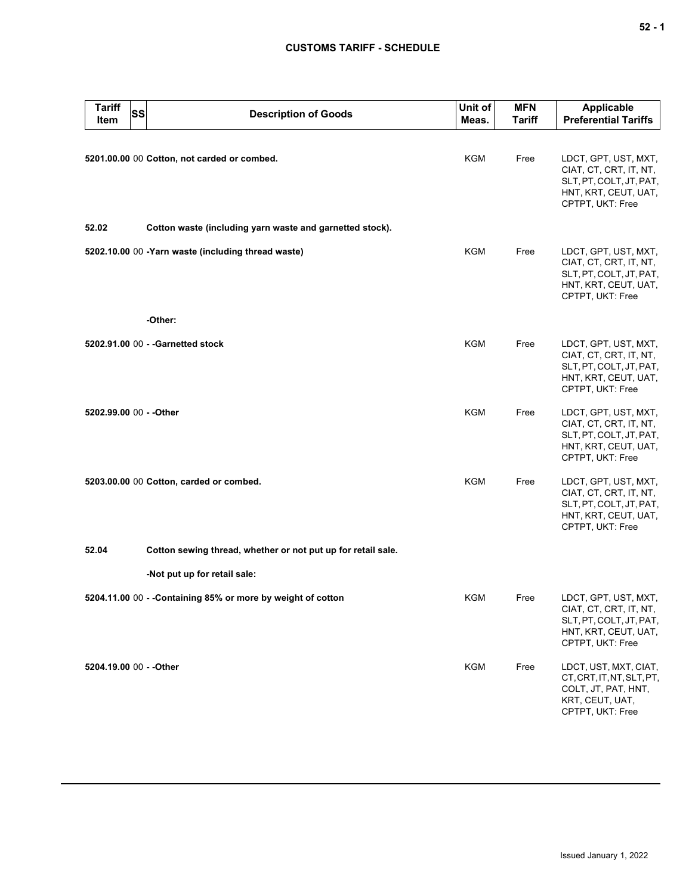| <b>Tariff</b><br>Item   | SS | <b>Description of Goods</b>                                  | Unit of<br>Meas. | <b>MFN</b><br><b>Tariff</b> | <b>Applicable</b><br><b>Preferential Tariffs</b>                                                                      |
|-------------------------|----|--------------------------------------------------------------|------------------|-----------------------------|-----------------------------------------------------------------------------------------------------------------------|
|                         |    | 5201.00.00 00 Cotton, not carded or combed.                  | <b>KGM</b>       | Free                        | LDCT, GPT, UST, MXT,<br>CIAT, CT, CRT, IT, NT,<br>SLT, PT, COLT, JT, PAT,<br>HNT, KRT, CEUT, UAT,<br>CPTPT, UKT: Free |
| 52.02                   |    | Cotton waste (including yarn waste and garnetted stock).     |                  |                             |                                                                                                                       |
|                         |    | 5202.10.00 00 -Yarn waste (including thread waste)           | <b>KGM</b>       | Free                        | LDCT, GPT, UST, MXT,<br>CIAT, CT, CRT, IT, NT,<br>SLT, PT, COLT, JT, PAT,<br>HNT, KRT, CEUT, UAT,<br>CPTPT, UKT: Free |
|                         |    | -Other:                                                      |                  |                             |                                                                                                                       |
|                         |    | 5202.91.00 00 - - Garnetted stock                            | <b>KGM</b>       | Free                        | LDCT, GPT, UST, MXT,<br>CIAT, CT, CRT, IT, NT,<br>SLT, PT, COLT, JT, PAT,<br>HNT, KRT, CEUT, UAT,<br>CPTPT, UKT: Free |
| 5202.99.00 00 - - Other |    |                                                              | <b>KGM</b>       | Free                        | LDCT, GPT, UST, MXT,<br>CIAT, CT, CRT, IT, NT,<br>SLT, PT, COLT, JT, PAT,<br>HNT, KRT, CEUT, UAT,<br>CPTPT, UKT: Free |
|                         |    | 5203.00.00 00 Cotton, carded or combed.                      | <b>KGM</b>       | Free                        | LDCT, GPT, UST, MXT,<br>CIAT, CT, CRT, IT, NT,<br>SLT, PT, COLT, JT, PAT,<br>HNT, KRT, CEUT, UAT,<br>CPTPT, UKT: Free |
| 52.04                   |    | Cotton sewing thread, whether or not put up for retail sale. |                  |                             |                                                                                                                       |
|                         |    | -Not put up for retail sale:                                 |                  |                             |                                                                                                                       |
|                         |    | 5204.11.00 00 - - Containing 85% or more by weight of cotton | <b>KGM</b>       | Free                        | LDCT, GPT, UST, MXT,<br>CIAT, CT, CRT, IT, NT,<br>SLT, PT, COLT, JT, PAT,<br>HNT, KRT, CEUT, UAT,<br>CPTPT, UKT: Free |
| 5204.19.00 00 - - Other |    |                                                              | <b>KGM</b>       | Free                        | LDCT, UST, MXT, CIAT,<br>CT, CRT, IT, NT, SLT, PT,<br>COLT, JT, PAT, HNT,<br>KRT, CEUT, UAT,<br>CPTPT, UKT: Free      |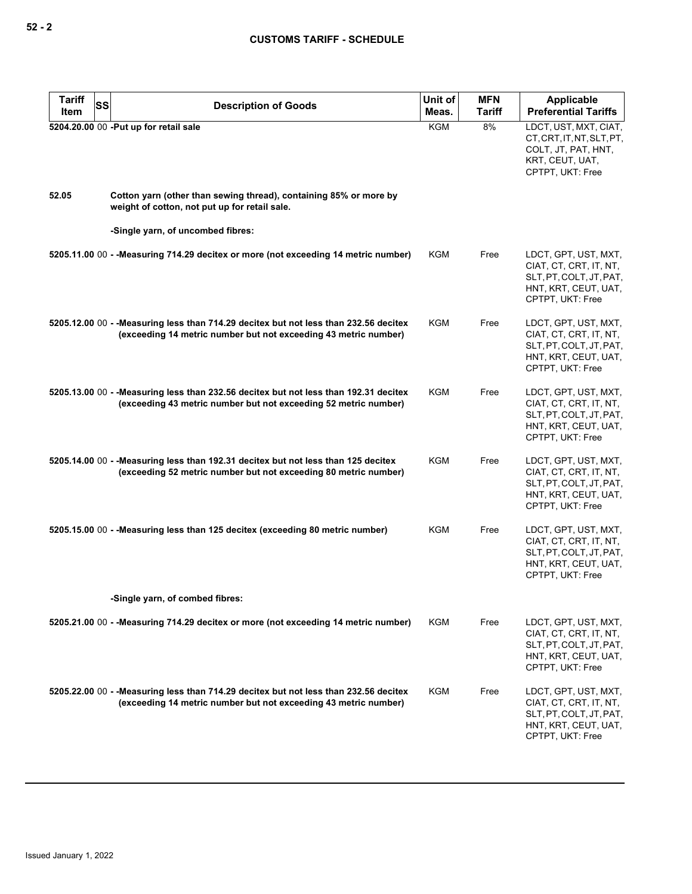| Tariff<br>SS<br>Item | <b>Description of Goods</b>                                                                                                                              | Unit of<br>Meas. | <b>MFN</b><br><b>Tariff</b> | Applicable<br><b>Preferential Tariffs</b>                                                                             |
|----------------------|----------------------------------------------------------------------------------------------------------------------------------------------------------|------------------|-----------------------------|-----------------------------------------------------------------------------------------------------------------------|
|                      | 5204.20.00 00 -Put up for retail sale                                                                                                                    | KGM              | 8%                          | LDCT, UST, MXT, CIAT,<br>CT, CRT, IT, NT, SLT, PT,<br>COLT, JT, PAT, HNT,<br>KRT, CEUT, UAT,<br>CPTPT, UKT: Free      |
| 52.05                | Cotton yarn (other than sewing thread), containing 85% or more by<br>weight of cotton, not put up for retail sale.                                       |                  |                             |                                                                                                                       |
|                      | -Single yarn, of uncombed fibres:                                                                                                                        |                  |                             |                                                                                                                       |
|                      | 5205.11.00 00 - - Measuring 714.29 decitex or more (not exceeding 14 metric number)                                                                      | KGM              | Free                        | LDCT, GPT, UST, MXT,<br>CIAT, CT, CRT, IT, NT,<br>SLT, PT, COLT, JT, PAT,<br>HNT, KRT, CEUT, UAT,<br>CPTPT, UKT: Free |
|                      | 5205.12.00 00 - -Measuring less than 714.29 decitex but not less than 232.56 decitex<br>(exceeding 14 metric number but not exceeding 43 metric number)  | <b>KGM</b>       | Free                        | LDCT, GPT, UST, MXT,<br>CIAT, CT, CRT, IT, NT,<br>SLT, PT, COLT, JT, PAT,<br>HNT, KRT, CEUT, UAT,<br>CPTPT, UKT: Free |
|                      | 5205.13.00 00 - -Measuring less than 232.56 decitex but not less than 192.31 decitex<br>(exceeding 43 metric number but not exceeding 52 metric number)  | KGM              | Free                        | LDCT, GPT, UST, MXT,<br>CIAT, CT, CRT, IT, NT,<br>SLT, PT, COLT, JT, PAT,<br>HNT, KRT, CEUT, UAT,<br>CPTPT, UKT: Free |
|                      | 5205.14.00 00 - -Measuring less than 192.31 decitex but not less than 125 decitex<br>(exceeding 52 metric number but not exceeding 80 metric number)     | KGM              | Free                        | LDCT, GPT, UST, MXT,<br>CIAT, CT, CRT, IT, NT,<br>SLT, PT, COLT, JT, PAT,<br>HNT, KRT, CEUT, UAT,<br>CPTPT, UKT: Free |
|                      | 5205.15.00 00 - -Measuring less than 125 decitex (exceeding 80 metric number)                                                                            | KGM              | Free                        | LDCT, GPT, UST, MXT,<br>CIAT, CT, CRT, IT, NT,<br>SLT, PT, COLT, JT, PAT,<br>HNT, KRT, CEUT, UAT,<br>CPTPT, UKT: Free |
|                      | -Single yarn, of combed fibres:                                                                                                                          |                  |                             |                                                                                                                       |
|                      | 5205.21.00 00 - - Measuring 714.29 decitex or more (not exceeding 14 metric number)                                                                      | KGM              | Free                        | LDCT, GPT, UST, MXT,<br>CIAT, CT, CRT, IT, NT,<br>SLT, PT, COLT, JT, PAT,<br>HNT, KRT, CEUT, UAT,<br>CPTPT, UKT: Free |
|                      | 5205.22.00 00 - - Measuring less than 714.29 decitex but not less than 232.56 decitex<br>(exceeding 14 metric number but not exceeding 43 metric number) | KGM              | Free                        | LDCT, GPT, UST, MXT,<br>CIAT, CT, CRT, IT, NT,<br>SLT, PT, COLT, JT, PAT,<br>HNT, KRT, CEUT, UAT,<br>CPTPT, UKT: Free |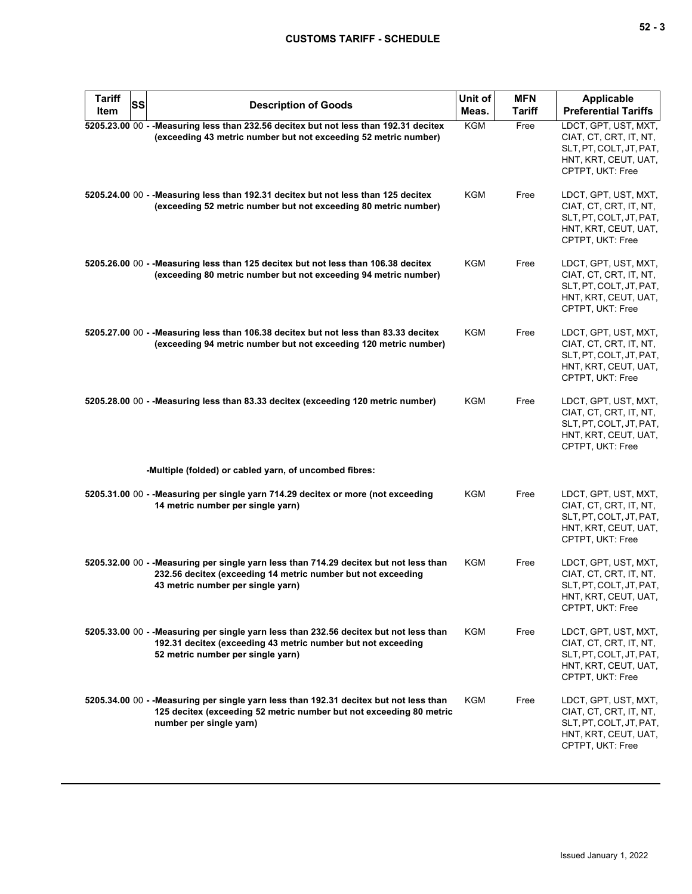| <b>Tariff</b><br>SS<br>Item | <b>Description of Goods</b>                                                                                                                                                                 | Unit of<br>Meas. | <b>MFN</b><br>Tariff | <b>Applicable</b><br><b>Preferential Tariffs</b>                                                                      |
|-----------------------------|---------------------------------------------------------------------------------------------------------------------------------------------------------------------------------------------|------------------|----------------------|-----------------------------------------------------------------------------------------------------------------------|
|                             | 5205.23.00 00 - - Measuring less than 232.56 decitex but not less than 192.31 decitex<br>(exceeding 43 metric number but not exceeding 52 metric number)                                    | <b>KGM</b>       | Free                 | LDCT, GPT, UST, MXT,<br>CIAT, CT, CRT, IT, NT,<br>SLT, PT, COLT, JT, PAT,<br>HNT, KRT, CEUT, UAT,<br>CPTPT, UKT: Free |
|                             | 5205.24.00 00 - - Measuring less than 192.31 decitex but not less than 125 decitex<br>(exceeding 52 metric number but not exceeding 80 metric number)                                       | KGM              | Free                 | LDCT, GPT, UST, MXT,<br>CIAT, CT, CRT, IT, NT,<br>SLT, PT, COLT, JT, PAT,<br>HNT, KRT, CEUT, UAT,<br>CPTPT, UKT: Free |
|                             | 5205.26.00 00 - - Measuring less than 125 decitex but not less than 106.38 decitex<br>(exceeding 80 metric number but not exceeding 94 metric number)                                       | <b>KGM</b>       | Free                 | LDCT, GPT, UST, MXT,<br>CIAT, CT, CRT, IT, NT,<br>SLT, PT, COLT, JT, PAT,<br>HNT, KRT, CEUT, UAT,<br>CPTPT, UKT: Free |
|                             | 5205.27.00 00 - - Measuring less than 106.38 decitex but not less than 83.33 decitex<br>(exceeding 94 metric number but not exceeding 120 metric number)                                    | <b>KGM</b>       | Free                 | LDCT, GPT, UST, MXT,<br>CIAT, CT, CRT, IT, NT,<br>SLT, PT, COLT, JT, PAT,<br>HNT, KRT, CEUT, UAT,<br>CPTPT, UKT: Free |
|                             | 5205.28.00 00 - - Measuring less than 83.33 decitex (exceeding 120 metric number)                                                                                                           | <b>KGM</b>       | Free                 | LDCT, GPT, UST, MXT,<br>CIAT, CT, CRT, IT, NT,<br>SLT, PT, COLT, JT, PAT,<br>HNT, KRT, CEUT, UAT,<br>CPTPT, UKT: Free |
|                             | -Multiple (folded) or cabled yarn, of uncombed fibres:                                                                                                                                      |                  |                      |                                                                                                                       |
|                             | 5205.31.00 00 - - Measuring per single yarn 714.29 decitex or more (not exceeding<br>14 metric number per single yarn)                                                                      | KGM              | Free                 | LDCT, GPT, UST, MXT,<br>CIAT, CT, CRT, IT, NT,<br>SLT, PT, COLT, JT, PAT,<br>HNT, KRT, CEUT, UAT,<br>CPTPT, UKT: Free |
|                             | 5205.32.00 00 - - Measuring per single yarn less than 714.29 decitex but not less than<br>232.56 decitex (exceeding 14 metric number but not exceeding<br>43 metric number per single yarn) | KGM              | Free                 | LDCT, GPT, UST, MXT,<br>CIAT, CT, CRT, IT, NT,<br>SLT, PT, COLT, JT, PAT,<br>HNT, KRT, CEUT, UAT,<br>CPTPT, UKT: Free |
|                             | 5205.33.00 00 - - Measuring per single yarn less than 232.56 decitex but not less than<br>192.31 decitex (exceeding 43 metric number but not exceeding<br>52 metric number per single yarn) | <b>KGM</b>       | Free                 | LDCT, GPT, UST, MXT,<br>CIAT, CT, CRT, IT, NT,<br>SLT, PT, COLT, JT, PAT,<br>HNT, KRT, CEUT, UAT,<br>CPTPT, UKT: Free |
|                             | 5205.34.00 00 - - Measuring per single yarn less than 192.31 decitex but not less than<br>125 decitex (exceeding 52 metric number but not exceeding 80 metric<br>number per single yarn)    | KGM              | Free                 | LDCT, GPT, UST, MXT,<br>CIAT, CT, CRT, IT, NT,<br>SLT, PT, COLT, JT, PAT,<br>HNT, KRT, CEUT, UAT,<br>CPTPT, UKT: Free |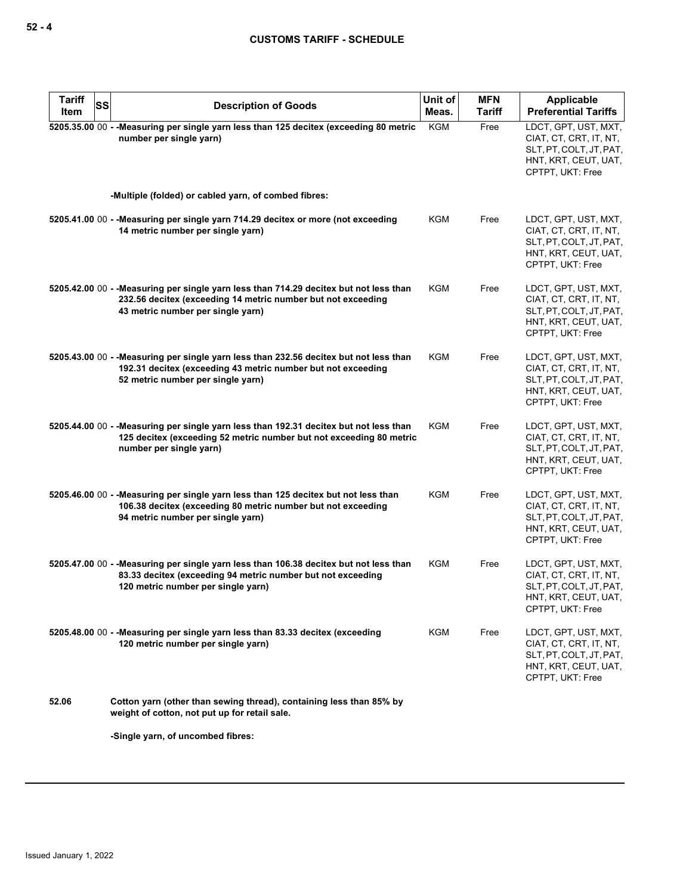| <b>Tariff</b><br>SS<br>Item | <b>Description of Goods</b>                                                                                                                                                                 | Unit of<br>Meas. | <b>MFN</b><br><b>Tariff</b> | <b>Applicable</b><br><b>Preferential Tariffs</b>                                                                      |
|-----------------------------|---------------------------------------------------------------------------------------------------------------------------------------------------------------------------------------------|------------------|-----------------------------|-----------------------------------------------------------------------------------------------------------------------|
|                             | 5205.35.00 00 - - Measuring per single yarn less than 125 decitex (exceeding 80 metric<br>number per single yarn)                                                                           | <b>KGM</b>       | Free                        | LDCT, GPT, UST, MXT,<br>CIAT, CT, CRT, IT, NT,<br>SLT, PT, COLT, JT, PAT,<br>HNT, KRT, CEUT, UAT,<br>CPTPT, UKT: Free |
|                             | -Multiple (folded) or cabled yarn, of combed fibres:                                                                                                                                        |                  |                             |                                                                                                                       |
|                             | 5205.41.00 00 - - Measuring per single yarn 714.29 decitex or more (not exceeding<br>14 metric number per single yarn)                                                                      | KGM              | Free                        | LDCT, GPT, UST, MXT,<br>CIAT, CT, CRT, IT, NT,<br>SLT, PT, COLT, JT, PAT,<br>HNT, KRT, CEUT, UAT,<br>CPTPT, UKT: Free |
|                             | 5205.42.00 00 - - Measuring per single yarn less than 714.29 decitex but not less than<br>232.56 decitex (exceeding 14 metric number but not exceeding<br>43 metric number per single yarn) | KGM              | Free                        | LDCT, GPT, UST, MXT,<br>CIAT, CT, CRT, IT, NT,<br>SLT, PT, COLT, JT, PAT,<br>HNT, KRT, CEUT, UAT,<br>CPTPT, UKT: Free |
|                             | 5205.43.00 00 - - Measuring per single yarn less than 232.56 decitex but not less than<br>192.31 decitex (exceeding 43 metric number but not exceeding<br>52 metric number per single yarn) | <b>KGM</b>       | Free                        | LDCT, GPT, UST, MXT,<br>CIAT, CT, CRT, IT, NT,<br>SLT, PT, COLT, JT, PAT,<br>HNT, KRT, CEUT, UAT,<br>CPTPT, UKT: Free |
|                             | 5205.44.00 00 - - Measuring per single yarn less than 192.31 decitex but not less than<br>125 decitex (exceeding 52 metric number but not exceeding 80 metric<br>number per single yarn)    | <b>KGM</b>       | Free                        | LDCT, GPT, UST, MXT,<br>CIAT, CT, CRT, IT, NT,<br>SLT, PT, COLT, JT, PAT,<br>HNT, KRT, CEUT, UAT,<br>CPTPT, UKT: Free |
|                             | 5205.46.00 00 - - Measuring per single yarn less than 125 decitex but not less than<br>106.38 decitex (exceeding 80 metric number but not exceeding<br>94 metric number per single yarn)    | KGM              | Free                        | LDCT, GPT, UST, MXT,<br>CIAT, CT, CRT, IT, NT,<br>SLT, PT, COLT, JT, PAT,<br>HNT, KRT, CEUT, UAT,<br>CPTPT, UKT: Free |
|                             | 5205.47.00 00 - - Measuring per single yarn less than 106.38 decitex but not less than<br>83.33 decitex (exceeding 94 metric number but not exceeding<br>120 metric number per single yarn) | KGM              | Free                        | LDCT, GPT, UST, MXT,<br>CIAT, CT, CRT, IT, NT,<br>SLT, PT, COLT, JT, PAT,<br>HNI, KRI, CEUI, UAI,<br>CPTPT, UKT: Free |
|                             | 5205.48.00 00 - - Measuring per single yarn less than 83.33 decitex (exceeding<br>120 metric number per single yarn)                                                                        | KGM              | Free                        | LDCT, GPT, UST, MXT,<br>CIAT, CT, CRT, IT, NT,<br>SLT, PT, COLT, JT, PAT,<br>HNT, KRT, CEUT, UAT,<br>CPTPT, UKT: Free |
| 52.06                       | Cotton yarn (other than sewing thread), containing less than 85% by<br>weight of cotton, not put up for retail sale.                                                                        |                  |                             |                                                                                                                       |
|                             | -Single yarn, of uncombed fibres:                                                                                                                                                           |                  |                             |                                                                                                                       |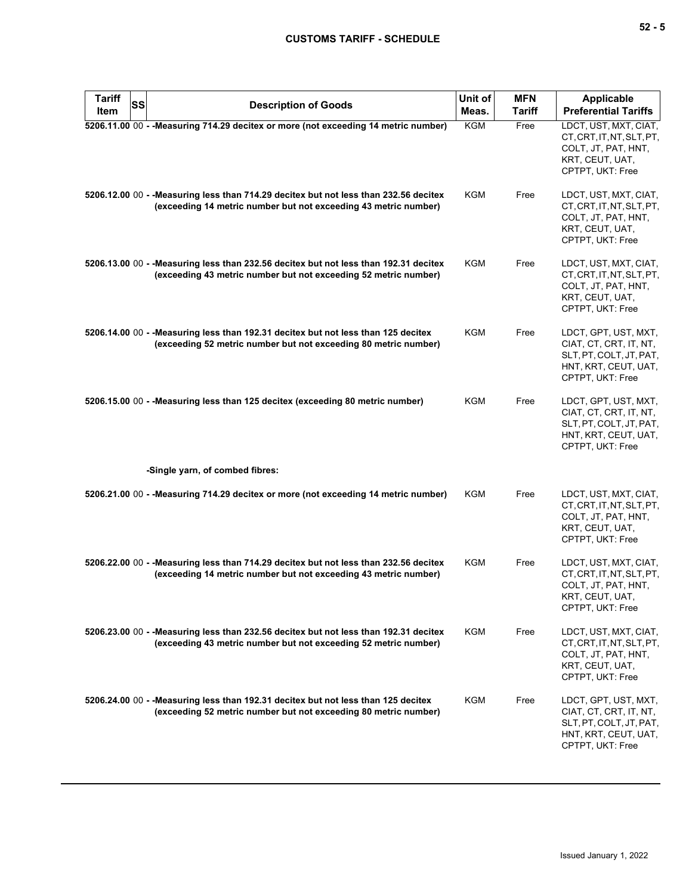| <b>Tariff</b><br><b>SS</b><br>Item | <b>Description of Goods</b>                                                                                                                              | Unit of<br>Meas. | <b>MFN</b><br><b>Tariff</b> | <b>Applicable</b><br><b>Preferential Tariffs</b>                                                                      |
|------------------------------------|----------------------------------------------------------------------------------------------------------------------------------------------------------|------------------|-----------------------------|-----------------------------------------------------------------------------------------------------------------------|
|                                    | 5206.11.00 00 - - Measuring 714.29 decitex or more (not exceeding 14 metric number)                                                                      | <b>KGM</b>       | Free                        | LDCT, UST, MXT, CIAT,<br>CT, CRT, IT, NT, SLT, PT,<br>COLT, JT, PAT, HNT,<br>KRT, CEUT, UAT,<br>CPTPT, UKT: Free      |
|                                    | 5206.12.00 00 - - Measuring less than 714.29 decitex but not less than 232.56 decitex<br>(exceeding 14 metric number but not exceeding 43 metric number) | KGM              | Free                        | LDCT, UST, MXT, CIAT,<br>CT.CRT.IT.NT.SLT.PT.<br>COLT, JT, PAT, HNT,<br>KRT, CEUT, UAT,<br>CPTPT, UKT: Free           |
|                                    | 5206.13.00 00 - -Measuring less than 232.56 decitex but not less than 192.31 decitex<br>(exceeding 43 metric number but not exceeding 52 metric number)  | <b>KGM</b>       | Free                        | LDCT, UST, MXT, CIAT,<br>CT, CRT, IT, NT, SLT, PT,<br>COLT, JT, PAT, HNT,<br>KRT, CEUT, UAT,<br>CPTPT, UKT: Free      |
|                                    | 5206.14.00 00 - - Measuring less than 192.31 decitex but not less than 125 decitex<br>(exceeding 52 metric number but not exceeding 80 metric number)    | <b>KGM</b>       | Free                        | LDCT, GPT, UST, MXT,<br>CIAT, CT, CRT, IT, NT,<br>SLT, PT, COLT, JT, PAT,<br>HNT, KRT, CEUT, UAT,<br>CPTPT, UKT: Free |
|                                    | 5206.15.00 00 - - Measuring less than 125 decitex (exceeding 80 metric number)                                                                           | <b>KGM</b>       | Free                        | LDCT, GPT, UST, MXT,<br>CIAT, CT, CRT, IT, NT,<br>SLT, PT, COLT, JT, PAT,<br>HNT, KRT, CEUT, UAT,<br>CPTPT, UKT: Free |
|                                    | -Single yarn, of combed fibres:                                                                                                                          |                  |                             |                                                                                                                       |
|                                    | 5206.21.00 00 - - Measuring 714.29 decitex or more (not exceeding 14 metric number)                                                                      | KGM              | Free                        | LDCT, UST, MXT, CIAT,<br>CT, CRT, IT, NT, SLT, PT,<br>COLT, JT, PAT, HNT,<br>KRT, CEUT, UAT,<br>CPTPT, UKT: Free      |
|                                    | 5206.22.00 00 - - Measuring less than 714.29 decitex but not less than 232.56 decitex<br>(exceeding 14 metric number but not exceeding 43 metric number) | <b>KGM</b>       | Free                        | LDCT, UST, MXT, CIAT,<br>CT, CRT, IT, NT, SLT, PT,<br>COLT, JT, PAT, HNT,<br>KRT, CEUT, UAT,<br>CPTPT, UKT: Free      |
|                                    | 5206.23.00 00 - - Measuring less than 232.56 decitex but not less than 192.31 decitex<br>(exceeding 43 metric number but not exceeding 52 metric number) | <b>KGM</b>       | Free                        | LDCT, UST, MXT, CIAT,<br>CT, CRT, IT, NT, SLT, PT,<br>COLT, JT, PAT, HNT,<br>KRT, CEUT, UAT,<br>CPTPT, UKT: Free      |
|                                    | 5206.24.00 00 - - Measuring less than 192.31 decitex but not less than 125 decitex<br>(exceeding 52 metric number but not exceeding 80 metric number)    | <b>KGM</b>       | Free                        | LDCT, GPT, UST, MXT,<br>CIAT, CT, CRT, IT, NT,<br>SLT, PT, COLT, JT, PAT,<br>HNT, KRT, CEUT, UAT,<br>CPTPT, UKT: Free |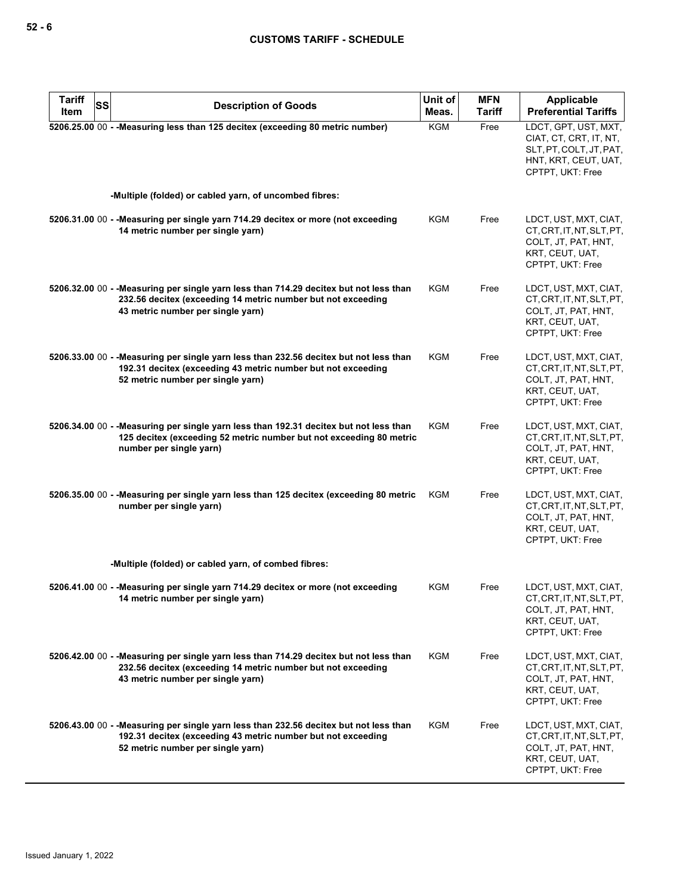| <b>Tariff</b><br>Item | SS | <b>Description of Goods</b>                                                                                                                                                                 | Unit of<br>Meas. | <b>MFN</b><br><b>Tariff</b> | <b>Applicable</b><br><b>Preferential Tariffs</b>                                                                      |
|-----------------------|----|---------------------------------------------------------------------------------------------------------------------------------------------------------------------------------------------|------------------|-----------------------------|-----------------------------------------------------------------------------------------------------------------------|
|                       |    | 5206.25.00 00 - - Measuring less than 125 decitex (exceeding 80 metric number)                                                                                                              | <b>KGM</b>       | Free                        | LDCT, GPT, UST, MXT,<br>CIAT, CT, CRT, IT, NT,<br>SLT, PT, COLT, JT, PAT,<br>HNT, KRT, CEUT, UAT,<br>CPTPT, UKT: Free |
|                       |    | -Multiple (folded) or cabled yarn, of uncombed fibres:                                                                                                                                      |                  |                             |                                                                                                                       |
|                       |    | 5206.31.00 00 - - Measuring per single yarn 714.29 decitex or more (not exceeding<br>14 metric number per single yarn)                                                                      | KGM              | Free                        | LDCT, UST, MXT, CIAT,<br>CT, CRT, IT, NT, SLT, PT,<br>COLT, JT, PAT, HNT,<br>KRT, CEUT, UAT,<br>CPTPT, UKT: Free      |
|                       |    | 5206.32.00 00 - - Measuring per single yarn less than 714.29 decitex but not less than<br>232.56 decitex (exceeding 14 metric number but not exceeding<br>43 metric number per single yarn) | KGM              | Free                        | LDCT, UST, MXT, CIAT,<br>CT, CRT, IT, NT, SLT, PT,<br>COLT, JT, PAT, HNT,<br>KRT, CEUT, UAT,<br>CPTPT, UKT: Free      |
|                       |    | 5206.33.00 00 - - Measuring per single yarn less than 232.56 decitex but not less than<br>192.31 decitex (exceeding 43 metric number but not exceeding<br>52 metric number per single yarn) | <b>KGM</b>       | Free                        | LDCT, UST, MXT, CIAT,<br>CT, CRT, IT, NT, SLT, PT,<br>COLT, JT, PAT, HNT,<br>KRT, CEUT, UAT,<br>CPTPT, UKT: Free      |
|                       |    | 5206.34.00 00 - - Measuring per single yarn less than 192.31 decitex but not less than<br>125 decitex (exceeding 52 metric number but not exceeding 80 metric<br>number per single yarn)    | KGM              | Free                        | LDCT, UST, MXT, CIAT,<br>CT, CRT, IT, NT, SLT, PT,<br>COLT, JT, PAT, HNT,<br>KRT, CEUT, UAT,<br>CPTPT, UKT: Free      |
|                       |    | 5206.35.00 00 - - Measuring per single yarn less than 125 decitex (exceeding 80 metric<br>number per single yarn)                                                                           | KGM              | Free                        | LDCT, UST, MXT, CIAT,<br>CT, CRT, IT, NT, SLT, PT,<br>COLT, JT, PAT, HNT,<br>KRT, CEUT, UAT,<br>CPTPT, UKT: Free      |
|                       |    | -Multiple (folded) or cabled yarn, of combed fibres:                                                                                                                                        |                  |                             |                                                                                                                       |
|                       |    | 5206.41.00 00 - - Measuring per single yarn 714.29 decitex or more (not exceeding<br>14 metric number per single yarn)                                                                      | KGM              | Free                        | LDCT, UST, MXT, CIAT,<br>CT, CRT, IT, NT, SLT, PT,<br>COLT, JT, PAT, HNT,<br>KRT, CEUT, UAT,<br>CPTPT, UKT: Free      |
|                       |    | 5206.42.00 00 - - Measuring per single yarn less than 714.29 decitex but not less than<br>232.56 decitex (exceeding 14 metric number but not exceeding<br>43 metric number per single yarn) | KGM              | Free                        | LDCT, UST, MXT, CIAT,<br>CT, CRT, IT, NT, SLT, PT,<br>COLT, JT, PAT, HNT,<br>KRT, CEUT, UAT,<br>CPTPT, UKT: Free      |
|                       |    | 5206.43.00 00 - - Measuring per single yarn less than 232.56 decitex but not less than<br>192.31 decitex (exceeding 43 metric number but not exceeding<br>52 metric number per single yarn) | KGM              | Free                        | LDCT, UST, MXT, CIAT,<br>CT, CRT, IT, NT, SLT, PT,<br>COLT, JT, PAT, HNT,<br>KRT, CEUT, UAT,<br>CPTPT, UKT: Free      |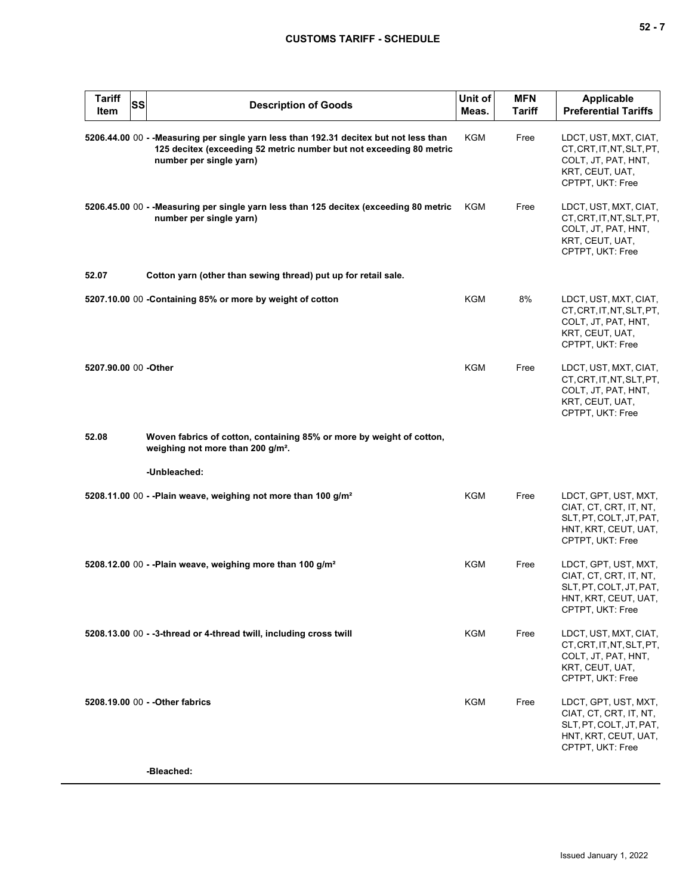| <b>Tariff</b><br>Item | <b>SS</b> | <b>Description of Goods</b>                                                                                                                                                              | Unit of<br>Meas. | <b>MFN</b><br><b>Tariff</b> | <b>Applicable</b><br><b>Preferential Tariffs</b>                                                                      |
|-----------------------|-----------|------------------------------------------------------------------------------------------------------------------------------------------------------------------------------------------|------------------|-----------------------------|-----------------------------------------------------------------------------------------------------------------------|
|                       |           | 5206.44.00 00 - - Measuring per single yarn less than 192.31 decitex but not less than<br>125 decitex (exceeding 52 metric number but not exceeding 80 metric<br>number per single yarn) | KGM              | Free                        | LDCT, UST, MXT, CIAT,<br>CT, CRT, IT, NT, SLT, PT,<br>COLT, JT, PAT, HNT,<br>KRT, CEUT, UAT,<br>CPTPT, UKT: Free      |
|                       |           | 5206.45.00 00 - - Measuring per single yarn less than 125 decitex (exceeding 80 metric<br>number per single yarn)                                                                        | KGM              | Free                        | LDCT, UST, MXT, CIAT,<br>CT, CRT, IT, NT, SLT, PT,<br>COLT, JT, PAT, HNT,<br>KRT, CEUT, UAT,<br>CPTPT, UKT: Free      |
| 52.07                 |           | Cotton yarn (other than sewing thread) put up for retail sale.                                                                                                                           |                  |                             |                                                                                                                       |
|                       |           | 5207.10.00 00 - Containing 85% or more by weight of cotton                                                                                                                               | KGM              | 8%                          | LDCT, UST, MXT, CIAT,<br>CT, CRT, IT, NT, SLT, PT,<br>COLT, JT, PAT, HNT,<br>KRT, CEUT, UAT,<br>CPTPT, UKT: Free      |
| 5207.90.00 00 -Other  |           |                                                                                                                                                                                          | <b>KGM</b>       | Free                        | LDCT, UST, MXT, CIAT,<br>CT, CRT, IT, NT, SLT, PT,<br>COLT, JT, PAT, HNT,<br>KRT, CEUT, UAT,<br>CPTPT, UKT: Free      |
| 52.08                 |           | Woven fabrics of cotton, containing 85% or more by weight of cotton,<br>weighing not more than 200 g/m <sup>2</sup> .                                                                    |                  |                             |                                                                                                                       |
|                       |           | -Unbleached:                                                                                                                                                                             |                  |                             |                                                                                                                       |
|                       |           | 5208.11.00 00 - -Plain weave, weighing not more than 100 g/m <sup>2</sup>                                                                                                                | KGM              | Free                        | LDCT, GPT, UST, MXT,<br>CIAT, CT, CRT, IT, NT,<br>SLT, PT, COLT, JT, PAT,<br>HNT, KRT, CEUT, UAT,<br>CPTPT, UKT: Free |
|                       |           | 5208.12.00 00 - - Plain weave, weighing more than 100 g/m <sup>2</sup>                                                                                                                   | <b>KGM</b>       | Free                        | LDCT, GPT, UST, MXT,<br>CIAT, CT, CRT, IT, NT,<br>SLT, PT, COLT, JT, PAT,<br>HNI, KRI, CEUI, UAI,<br>CPTPT, UKT: Free |
|                       |           | 5208.13.00 00 - -3-thread or 4-thread twill, including cross twill                                                                                                                       | KGM              | Free                        | LDCT, UST, MXT, CIAT,<br>CT, CRT, IT, NT, SLT, PT,<br>COLT, JT, PAT, HNT,<br>KRT, CEUT, UAT,<br>CPTPT, UKT: Free      |
|                       |           | 5208.19.00 00 - - Other fabrics                                                                                                                                                          | KGM              | Free                        | LDCT, GPT, UST, MXT,<br>CIAT, CT, CRT, IT, NT,<br>SLT, PT, COLT, JT, PAT,<br>HNT, KRT, CEUT, UAT,<br>CPTPT, UKT: Free |
|                       |           | -Bleached:                                                                                                                                                                               |                  |                             |                                                                                                                       |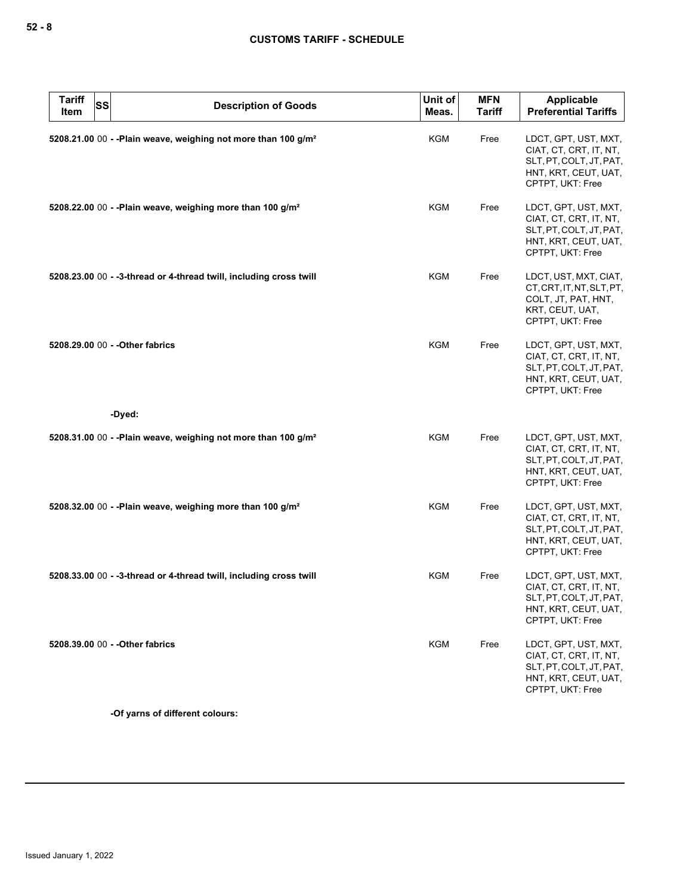| <b>Tariff</b><br><b>SS</b><br>Item | <b>Description of Goods</b>                                                | Unit of<br>Meas. | <b>MFN</b><br><b>Tariff</b> | Applicable<br><b>Preferential Tariffs</b>                                                                             |
|------------------------------------|----------------------------------------------------------------------------|------------------|-----------------------------|-----------------------------------------------------------------------------------------------------------------------|
|                                    | 5208.21.00 00 - - Plain weave, weighing not more than 100 g/m <sup>2</sup> | KGM              | Free                        | LDCT, GPT, UST, MXT,<br>CIAT, CT, CRT, IT, NT,<br>SLT, PT, COLT, JT, PAT,<br>HNT, KRT, CEUT, UAT,<br>CPTPT, UKT: Free |
|                                    | 5208.22.00 00 - - Plain weave, weighing more than 100 g/m <sup>2</sup>     | KGM              | Free                        | LDCT, GPT, UST, MXT,<br>CIAT, CT, CRT, IT, NT,<br>SLT, PT, COLT, JT, PAT,<br>HNT, KRT, CEUT, UAT,<br>CPTPT, UKT: Free |
|                                    | 5208.23.00 00 - -3-thread or 4-thread twill, including cross twill         | KGM              | Free                        | LDCT, UST, MXT, CIAT,<br>CT, CRT, IT, NT, SLT, PT,<br>COLT, JT, PAT, HNT,<br>KRT, CEUT, UAT,<br>CPTPT, UKT: Free      |
| 5208.29.00 00 - - Other fabrics    |                                                                            | KGM              | Free                        | LDCT, GPT, UST, MXT,<br>CIAT, CT, CRT, IT, NT,<br>SLT, PT, COLT, JT, PAT,<br>HNT, KRT, CEUT, UAT,<br>CPTPT, UKT: Free |
|                                    | -Dyed:                                                                     |                  |                             |                                                                                                                       |
|                                    | 5208.31.00 00 - - Plain weave, weighing not more than 100 g/m <sup>2</sup> | KGM              | Free                        | LDCT, GPT, UST, MXT,<br>CIAT, CT, CRT, IT, NT,<br>SLT, PT, COLT, JT, PAT,<br>HNT, KRT, CEUT, UAT,<br>CPTPT, UKT: Free |
|                                    | 5208.32.00 00 - - Plain weave, weighing more than 100 g/m <sup>2</sup>     | KGM              | Free                        | LDCT, GPT, UST, MXT,<br>CIAT, CT, CRT, IT, NT,<br>SLT, PT, COLT, JT, PAT,<br>HNT, KRT, CEUT, UAT,<br>CPTPT, UKT: Free |
|                                    | 5208.33.00 00 - -3-thread or 4-thread twill, including cross twill         | KGM              | Free                        | LDCT, GPT, UST, MXT,<br>CIAT, CT, CRT, IT, NT,<br>SLT, PT, COLT, JT, PAT,<br>HNT, KRT, CEUT, UAT,<br>CPTPT, UKT: Free |
| 5208.39.00 00 - - Other fabrics    |                                                                            | <b>KGM</b>       | Free                        | LDCT, GPT, UST, MXT,<br>CIAT, CT, CRT, IT, NT,<br>SLT, PT, COLT, JT, PAT,<br>HNT, KRT, CEUT, UAT,<br>CPTPT, UKT: Free |

**-Of yarns of different colours:**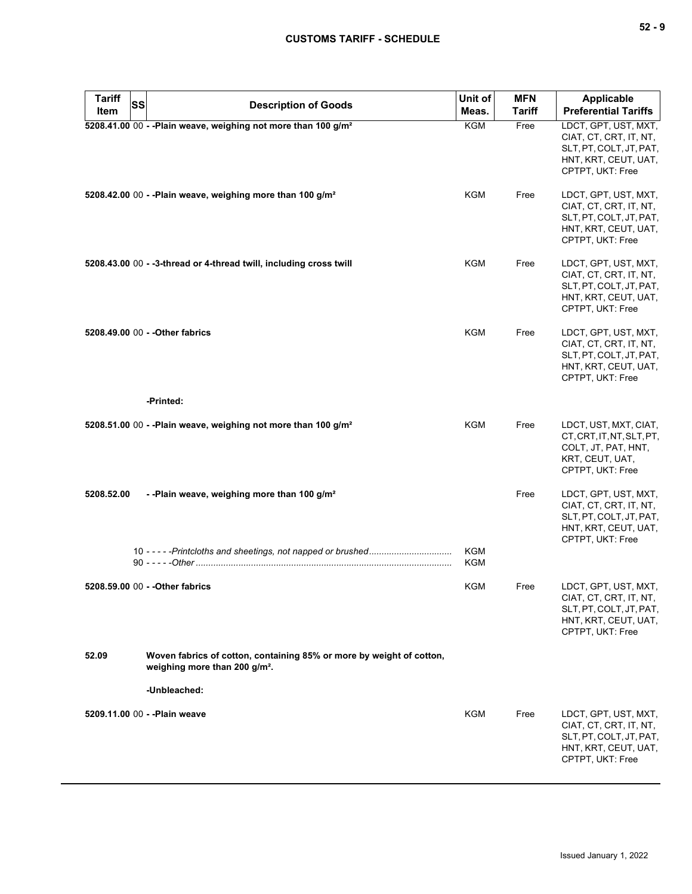| <b>Tariff</b><br>SS<br>Item | <b>Description of Goods</b>                                                                                       | Unit of<br>Meas. | <b>MFN</b><br><b>Tariff</b> | <b>Applicable</b><br><b>Preferential Tariffs</b>                                                                      |
|-----------------------------|-------------------------------------------------------------------------------------------------------------------|------------------|-----------------------------|-----------------------------------------------------------------------------------------------------------------------|
|                             | 5208.41.00 00 - - Plain weave, weighing not more than 100 g/m <sup>2</sup>                                        | KGM              | Free                        | LDCT, GPT, UST, MXT,<br>CIAT, CT, CRT, IT, NT,<br>SLT, PT, COLT, JT, PAT,<br>HNT, KRT, CEUT, UAT,<br>CPTPT, UKT: Free |
|                             | 5208.42.00 00 - - Plain weave, weighing more than 100 g/m <sup>2</sup>                                            | KGM              | Free                        | LDCT, GPT, UST, MXT,<br>CIAT, CT, CRT, IT, NT,<br>SLT, PT, COLT, JT, PAT,<br>HNT, KRT, CEUT, UAT,<br>CPTPT, UKT: Free |
|                             | 5208.43.00 00 - -3-thread or 4-thread twill, including cross twill                                                | KGM              | Free                        | LDCT, GPT, UST, MXT,<br>CIAT, CT, CRT, IT, NT,<br>SLT, PT, COLT, JT, PAT,<br>HNT, KRT, CEUT, UAT,<br>CPTPT, UKT: Free |
|                             | 5208.49.00 00 - - Other fabrics                                                                                   | <b>KGM</b>       | Free                        | LDCT, GPT, UST, MXT,<br>CIAT, CT, CRT, IT, NT,<br>SLT, PT, COLT, JT, PAT,<br>HNT, KRT, CEUT, UAT,<br>CPTPT, UKT: Free |
|                             | -Printed:                                                                                                         |                  |                             |                                                                                                                       |
|                             | 5208.51.00 00 - - Plain weave, weighing not more than 100 g/m <sup>2</sup>                                        | KGM              | Free                        | LDCT, UST, MXT, CIAT,<br>CT, CRT, IT, NT, SLT, PT,<br>COLT, JT, PAT, HNT,<br>KRT, CEUT, UAT,<br>CPTPT, UKT: Free      |
| 5208.52.00                  | --Plain weave, weighing more than 100 g/m <sup>2</sup>                                                            |                  | Free                        | LDCT, GPT, UST, MXT,<br>CIAT, CT, CRT, IT, NT,<br>SLT, PT, COLT, JT, PAT,<br>HNT, KRT, CEUT, UAT,<br>CPTPT, UKT: Free |
|                             |                                                                                                                   | KGM<br>KGM       |                             |                                                                                                                       |
|                             | 5208.59.00 00 - - Other fabrics                                                                                   | KGM              | Free                        | LDCT, GPT, UST, MXT,<br>CIAT, CT, CRT, IT, NT,<br>SLT, PT, COLT, JT, PAT,<br>HNT, KRT, CEUT, UAT,<br>CPTPT, UKT: Free |
| 52.09                       | Woven fabrics of cotton, containing 85% or more by weight of cotton,<br>weighing more than 200 g/m <sup>2</sup> . |                  |                             |                                                                                                                       |
|                             | -Unbleached:                                                                                                      |                  |                             |                                                                                                                       |
|                             | 5209.11.00 00 - - Plain weave                                                                                     | KGM              | Free                        | LDCT, GPT, UST, MXT,<br>CIAT, CT, CRT, IT, NT,<br>SLT, PT, COLT, JT, PAT,<br>HNT, KRT, CEUT, UAT,<br>CPTPT, UKT: Free |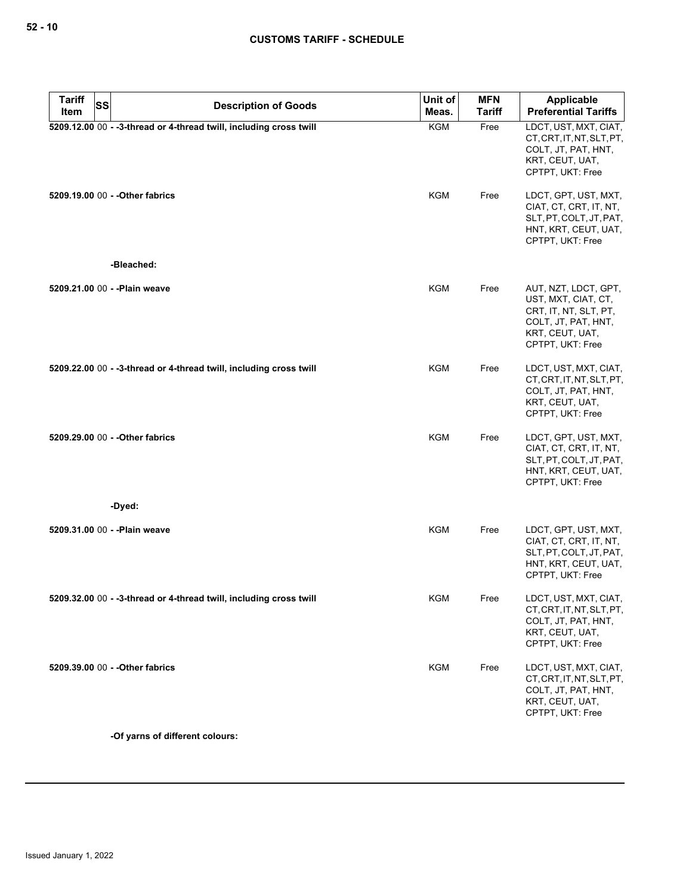| <b>Tariff</b><br>SS |                                                                    | Unit of    | <b>MFN</b>    | <b>Applicable</b>                                                                                                                  |
|---------------------|--------------------------------------------------------------------|------------|---------------|------------------------------------------------------------------------------------------------------------------------------------|
| Item                | <b>Description of Goods</b>                                        | Meas.      | <b>Tariff</b> | <b>Preferential Tariffs</b>                                                                                                        |
|                     | 5209.12.00 00 - -3-thread or 4-thread twill, including cross twill | <b>KGM</b> | Free          | LDCT, UST, MXT, CIAT,<br>CT, CRT, IT, NT, SLT, PT,<br>COLT, JT, PAT, HNT,<br>KRT, CEUT, UAT,<br>CPTPT, UKT: Free                   |
|                     | 5209.19.00 00 - - Other fabrics                                    | KGM        | Free          | LDCT, GPT, UST, MXT,<br>CIAT, CT, CRT, IT, NT,<br>SLT, PT, COLT, JT, PAT,<br>HNT, KRT, CEUT, UAT,<br>CPTPT, UKT: Free              |
|                     | -Bleached:                                                         |            |               |                                                                                                                                    |
|                     | 5209.21.00 00 - - Plain weave                                      | KGM        | Free          | AUT, NZT, LDCT, GPT,<br>UST, MXT, CIAT, CT,<br>CRT, IT, NT, SLT, PT,<br>COLT, JT, PAT, HNT,<br>KRT, CEUT, UAT,<br>CPTPT, UKT: Free |
|                     | 5209.22.00 00 - -3-thread or 4-thread twill, including cross twill | KGM        | Free          | LDCT, UST, MXT, CIAT,<br>CT, CRT, IT, NT, SLT, PT,<br>COLT, JT, PAT, HNT,<br>KRT, CEUT, UAT,<br>CPTPT, UKT: Free                   |
|                     | 5209.29.00 00 - - Other fabrics<br>-Dyed:                          | KGM        | Free          | LDCT, GPT, UST, MXT,<br>CIAT, CT, CRT, IT, NT,<br>SLT, PT, COLT, JT, PAT,<br>HNT, KRT, CEUT, UAT,<br>CPTPT, UKT: Free              |
|                     |                                                                    |            |               |                                                                                                                                    |
|                     | 5209.31.00 00 - - Plain weave                                      | <b>KGM</b> | Free          | LDCT, GPT, UST, MXT,<br>CIAT, CT, CRT, IT, NT,<br>SLT, PT, COLT, JT, PAT,<br>HNT, KRT, CEUT, UAT,<br>CPTPT, UKT: Free              |
|                     | 5209.32.00 00 - -3-thread or 4-thread twill, including cross twill | KGM        | Free          | LDCT, UST, MXT, CIAT,<br>CT, CRT, IT, NT, SLT, PT,<br>COLT, JT, PAT, HNT,<br>KRT, CEUT, UAT,<br>CPTPT, UKT: Free                   |
|                     | 5209.39.00 00 - - Other fabrics                                    | <b>KGM</b> | Free          | LDCT, UST, MXT, CIAT,<br>CT, CRT, IT, NT, SLT, PT,<br>COLT, JT, PAT, HNT,<br>KRT, CEUT, UAT,<br>CPTPT, UKT: Free                   |

**-Of yarns of different colours:**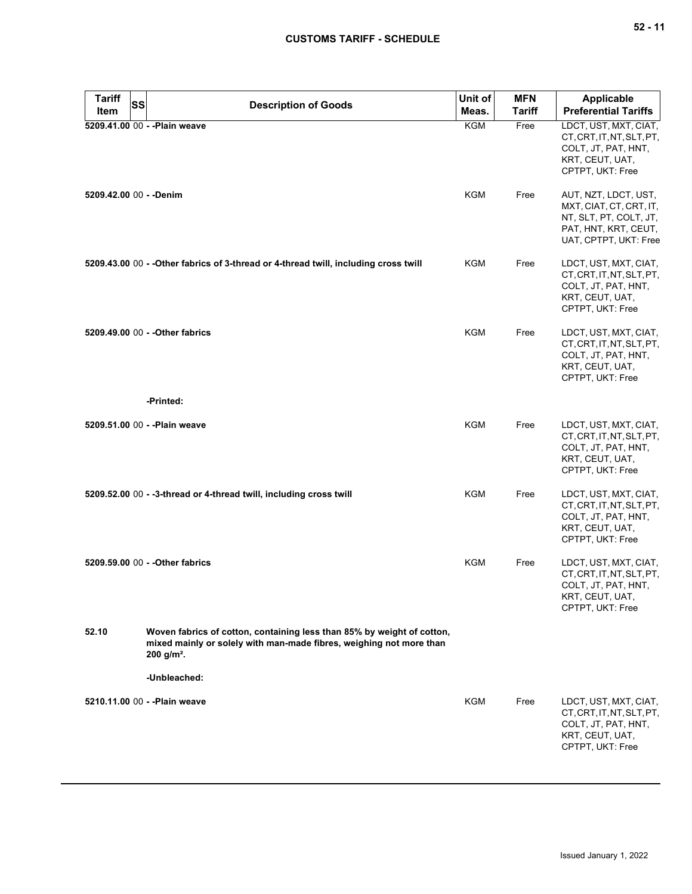| <b>Tariff</b>           | SS<br><b>Description of Goods</b>                                                                                                                                         | Unit of    | <b>MFN</b>    | Applicable                                                                                                                 |
|-------------------------|---------------------------------------------------------------------------------------------------------------------------------------------------------------------------|------------|---------------|----------------------------------------------------------------------------------------------------------------------------|
| Item                    |                                                                                                                                                                           | Meas.      | <b>Tariff</b> | <b>Preferential Tariffs</b>                                                                                                |
|                         | 5209.41.00 00 - - Plain weave                                                                                                                                             | <b>KGM</b> | Free          | LDCT, UST, MXT, CIAT,<br>CT, CRT, IT, NT, SLT, PT,<br>COLT, JT, PAT, HNT,<br>KRT, CEUT, UAT,<br>CPTPT, UKT: Free           |
| 5209.42.00 00 - - Denim |                                                                                                                                                                           | KGM        | Free          | AUT, NZT, LDCT, UST,<br>MXT, CIAT, CT, CRT, IT,<br>NT, SLT, PT, COLT, JT,<br>PAT, HNT, KRT, CEUT,<br>UAT, CPTPT, UKT: Free |
|                         | 5209.43.00 00 - - Other fabrics of 3-thread or 4-thread twill, including cross twill                                                                                      | KGM        | Free          | LDCT, UST, MXT, CIAT,<br>CT, CRT, IT, NT, SLT, PT,<br>COLT, JT, PAT, HNT,<br>KRT, CEUT, UAT,<br>CPTPT, UKT: Free           |
|                         | 5209.49.00 00 - - Other fabrics                                                                                                                                           | KGM        | Free          | LDCT, UST, MXT, CIAT,<br>CT.CRT.IT.NT.SLT.PT.<br>COLT, JT, PAT, HNT,<br>KRT, CEUT, UAT,<br>CPTPT, UKT: Free                |
|                         | -Printed:                                                                                                                                                                 |            |               |                                                                                                                            |
|                         | 5209.51.00 00 - - Plain weave                                                                                                                                             | <b>KGM</b> | Free          | LDCT, UST, MXT, CIAT,<br>CT, CRT, IT, NT, SLT, PT,<br>COLT, JT, PAT, HNT,<br>KRT, CEUT, UAT,<br>CPTPT, UKT: Free           |
|                         | 5209.52.00 00 - -3-thread or 4-thread twill, including cross twill                                                                                                        | <b>KGM</b> | Free          | LDCT, UST, MXT, CIAT,<br>CT, CRT, IT, NT, SLT, PT,<br>COLT, JT, PAT, HNT,<br>KRT, CEUT, UAT,<br>CPTPT, UKT: Free           |
|                         | 5209.59.00 00 - - Other fabrics                                                                                                                                           | KGM        | Free          | LDCT, UST, MXT, CIAT,<br>CT, CRT, IT, NT, SLT, PT,<br>COLT, JT, PAT, HNT,<br>KRT, CEUT, UAT,<br>CPTPT, UKT: Free           |
| 52.10                   | Woven fabrics of cotton, containing less than 85% by weight of cotton,<br>mixed mainly or solely with man-made fibres, weighing not more than<br>$200$ g/m <sup>2</sup> . |            |               |                                                                                                                            |
|                         | -Unbleached:                                                                                                                                                              |            |               |                                                                                                                            |
|                         | 5210.11.00 00 - - Plain weave                                                                                                                                             | KGM        | Free          | LDCT, UST, MXT, CIAT,<br>CT, CRT, IT, NT, SLT, PT,<br>COLT, JT, PAT, HNT,<br>KRT, CEUT, UAT,<br>CPTPT, UKT: Free           |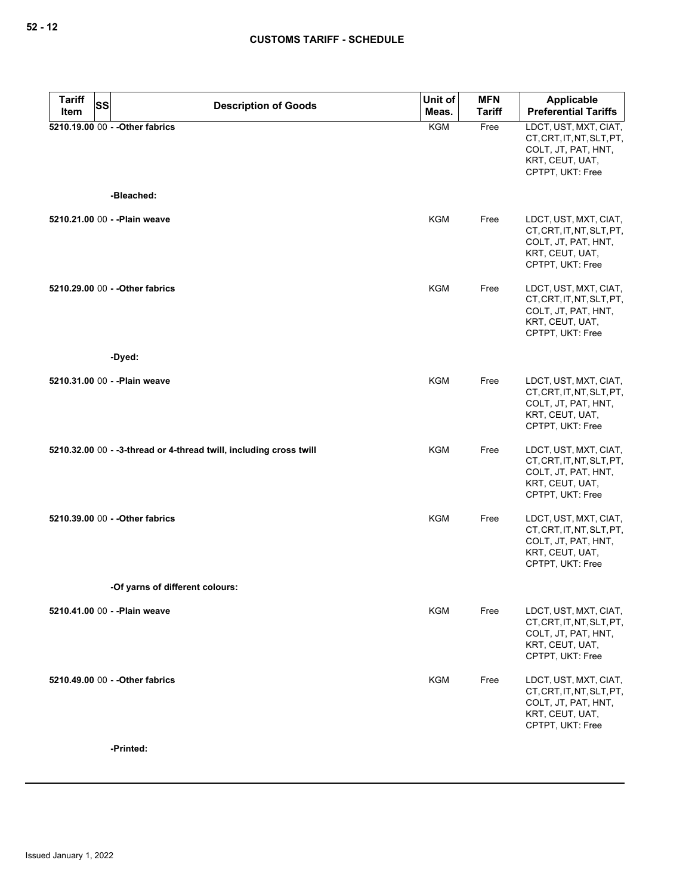| <b>Tariff</b><br>Item | <b>SS</b><br><b>Description of Goods</b>                           | Unit of    | <b>MFN</b>    | Applicable                                                                                                       |
|-----------------------|--------------------------------------------------------------------|------------|---------------|------------------------------------------------------------------------------------------------------------------|
|                       |                                                                    | Meas.      | <b>Tariff</b> | <b>Preferential Tariffs</b>                                                                                      |
|                       | 5210.19.00 00 - - Other fabrics                                    | <b>KGM</b> | Free          | LDCT, UST, MXT, CIAT,<br>CT, CRT, IT, NT, SLT, PT,<br>COLT, JT, PAT, HNT,<br>KRT, CEUT, UAT,<br>CPTPT, UKT: Free |
|                       | -Bleached:                                                         |            |               |                                                                                                                  |
|                       | 5210.21.00 00 - - Plain weave                                      | <b>KGM</b> | Free          | LDCT, UST, MXT, CIAT,<br>CT, CRT, IT, NT, SLT, PT,<br>COLT, JT, PAT, HNT,<br>KRT, CEUT, UAT,<br>CPTPT, UKT: Free |
|                       | 5210.29.00 00 - - Other fabrics                                    | KGM        | Free          | LDCT, UST, MXT, CIAT,<br>CT, CRT, IT, NT, SLT, PT,<br>COLT, JT, PAT, HNT,<br>KRT, CEUT, UAT,<br>CPTPT, UKT: Free |
|                       | -Dyed:                                                             |            |               |                                                                                                                  |
|                       | 5210.31.00 00 - - Plain weave                                      | <b>KGM</b> | Free          | LDCT, UST, MXT, CIAT,<br>CT, CRT, IT, NT, SLT, PT,<br>COLT, JT, PAT, HNT,<br>KRT, CEUT, UAT,<br>CPTPT, UKT: Free |
|                       | 5210.32.00 00 - -3-thread or 4-thread twill, including cross twill | <b>KGM</b> | Free          | LDCT, UST, MXT, CIAT,<br>CT, CRT, IT, NT, SLT, PT,<br>COLT, JT, PAT, HNT,<br>KRT, CEUT, UAT,<br>CPTPT, UKT: Free |
|                       | 5210.39.00 00 - - Other fabrics                                    | KGM        | Free          | LDCT, UST, MXT, CIAT,<br>CT, CRT, IT, NT, SLT, PT,<br>COLT, JT, PAT, HNT,<br>KRT, CEUT, UAT,<br>CPTPT, UKT: Free |
|                       | -Of yarns of different colours:                                    |            |               |                                                                                                                  |
|                       | 5210.41.00 00 - - Plain weave                                      | <b>KGM</b> | Free          | LDCT, UST, MXT, CIAT,<br>CT, CRT, IT, NT, SLT, PT,<br>COLT, JT, PAT, HNT,<br>KRT, CEUT, UAT,<br>CPTPT, UKT: Free |
|                       | 5210.49.00 00 - - Other fabrics                                    | <b>KGM</b> | Free          | LDCT, UST, MXT, CIAT,<br>CT, CRT, IT, NT, SLT, PT,<br>COLT, JT, PAT, HNT,<br>KRT, CEUT, UAT,<br>CPTPT, UKT: Free |

**-Printed:**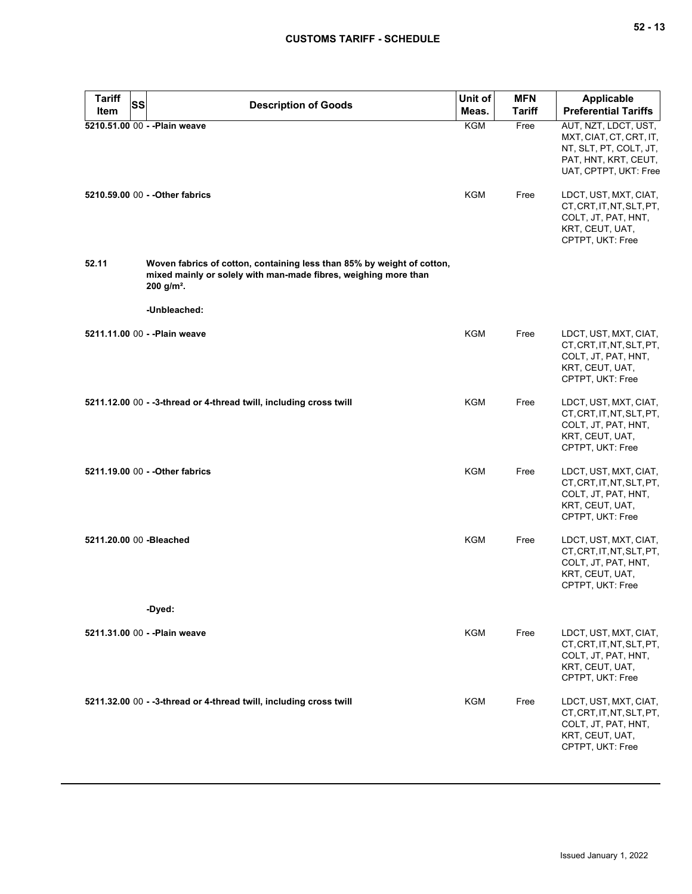| <b>Tariff</b><br><b>SS</b> | <b>Description of Goods</b>                                                                                                                                           | Unit of    | <b>MFN</b>    | <b>Applicable</b>                                                                                                          |
|----------------------------|-----------------------------------------------------------------------------------------------------------------------------------------------------------------------|------------|---------------|----------------------------------------------------------------------------------------------------------------------------|
| Item                       |                                                                                                                                                                       | Meas.      | <b>Tariff</b> | <b>Preferential Tariffs</b>                                                                                                |
|                            | 5210.51.00 00 - - Plain weave                                                                                                                                         | <b>KGM</b> | Free          | AUT, NZT, LDCT, UST,<br>MXT, CIAT, CT, CRT, IT,<br>NT, SLT, PT, COLT, JT,<br>PAT, HNT, KRT, CEUT,<br>UAT, CPTPT, UKT: Free |
|                            | 5210.59.00 00 - - Other fabrics                                                                                                                                       | KGM        | Free          | LDCT, UST, MXT, CIAT,<br>CT, CRT, IT, NT, SLT, PT,<br>COLT, JT, PAT, HNT,<br>KRT, CEUT, UAT,<br>CPTPT, UKT: Free           |
| 52.11                      | Woven fabrics of cotton, containing less than 85% by weight of cotton,<br>mixed mainly or solely with man-made fibres, weighing more than<br>$200$ g/m <sup>2</sup> . |            |               |                                                                                                                            |
|                            | -Unbleached:                                                                                                                                                          |            |               |                                                                                                                            |
|                            | 5211.11.00 00 - - Plain weave                                                                                                                                         | <b>KGM</b> | Free          | LDCT, UST, MXT, CIAT,<br>CT.CRT.IT.NT.SLT.PT.<br>COLT, JT, PAT, HNT,<br>KRT, CEUT, UAT,<br>CPTPT, UKT: Free                |
|                            | 5211.12.00 00 - -3-thread or 4-thread twill, including cross twill                                                                                                    | KGM        | Free          | LDCT, UST, MXT, CIAT,<br>CT, CRT, IT, NT, SLT, PT,<br>COLT, JT, PAT, HNT,<br>KRT, CEUT, UAT,<br>CPTPT, UKT: Free           |
|                            | 5211.19.00 00 - - Other fabrics                                                                                                                                       | <b>KGM</b> | Free          | LDCT, UST, MXT, CIAT,<br>CT, CRT, IT, NT, SLT, PT,<br>COLT, JT, PAT, HNT,<br>KRT, CEUT, UAT,<br>CPTPT, UKT: Free           |
| 5211.20.00 00 - Bleached   |                                                                                                                                                                       | <b>KGM</b> | Free          | LDCT, UST, MXT, CIAT,<br>CT, CRT, IT, NT, SLT, PT,<br>COLT, JT, PAT, HNT,<br>KRT, CEUT, UAT,<br>CPTPT, UKT: Free           |
|                            | -Dyed:                                                                                                                                                                |            |               |                                                                                                                            |
|                            | 5211.31.00 00 - - Plain weave                                                                                                                                         | KGM        | Free          | LDCT, UST, MXT, CIAT,<br>CT, CRT, IT, NT, SLT, PT,<br>COLT, JT, PAT, HNT,<br>KRT, CEUT, UAT,<br>CPTPT, UKT: Free           |
|                            | 5211.32.00 00 - -3-thread or 4-thread twill, including cross twill                                                                                                    | KGM        | Free          | LDCT, UST, MXT, CIAT,<br>CT, CRT, IT, NT, SLT, PT,<br>COLT, JT, PAT, HNT,<br>KRT, CEUT, UAT,<br>CPTPT, UKT: Free           |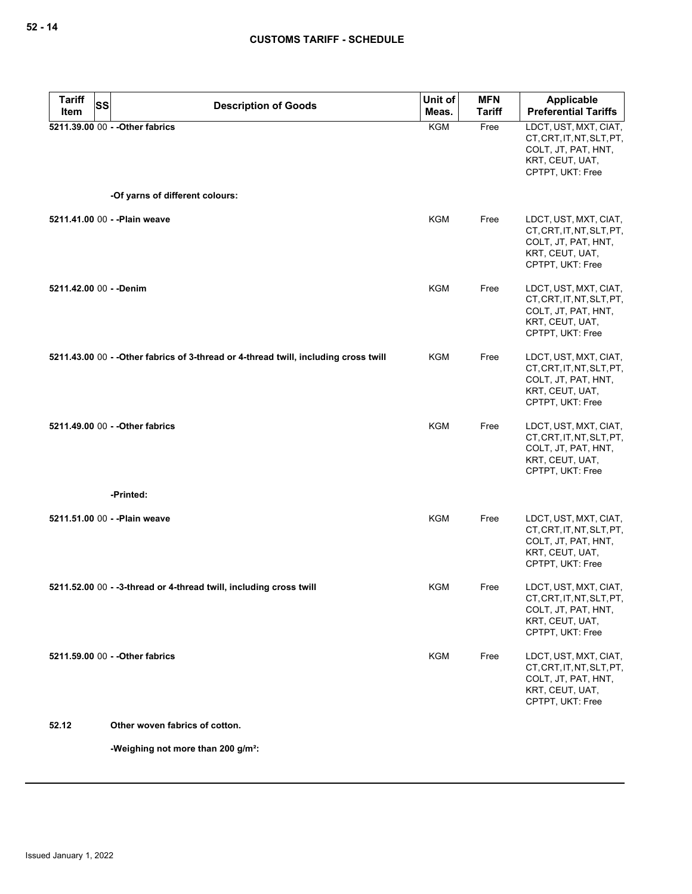| <b>Tariff</b>           | SS |                                                                                      | Unit of    | <b>MFN</b>    | <b>Applicable</b>                                                                                                |
|-------------------------|----|--------------------------------------------------------------------------------------|------------|---------------|------------------------------------------------------------------------------------------------------------------|
| Item                    |    | <b>Description of Goods</b>                                                          | Meas.      | <b>Tariff</b> | <b>Preferential Tariffs</b>                                                                                      |
|                         |    | 5211.39.00 00 - - Other fabrics                                                      | <b>KGM</b> | Free          | LDCT, UST, MXT, CIAT,<br>CT, CRT, IT, NT, SLT, PT,<br>COLT, JT, PAT, HNT,<br>KRT, CEUT, UAT,<br>CPTPT, UKT: Free |
|                         |    | -Of yarns of different colours:                                                      |            |               |                                                                                                                  |
|                         |    | 5211.41.00 00 - - Plain weave                                                        | KGM        | Free          | LDCT, UST, MXT, CIAT,<br>CT, CRT, IT, NT, SLT, PT,<br>COLT, JT, PAT, HNT,<br>KRT, CEUT, UAT,<br>CPTPT, UKT: Free |
| 5211.42.00 00 - - Denim |    |                                                                                      | KGM        | Free          | LDCT, UST, MXT, CIAT,<br>CT, CRT, IT, NT, SLT, PT,<br>COLT, JT, PAT, HNT,<br>KRT, CEUT, UAT,<br>CPTPT, UKT: Free |
|                         |    | 5211.43.00 00 - - Other fabrics of 3-thread or 4-thread twill, including cross twill | KGM        | Free          | LDCT, UST, MXT, CIAT,<br>CT, CRT, IT, NT, SLT, PT,<br>COLT, JT, PAT, HNT,<br>KRT, CEUT, UAT,<br>CPTPT, UKT: Free |
|                         |    | 5211.49.00 00 - - Other fabrics                                                      | KGM        | Free          | LDCT, UST, MXT, CIAT,<br>CT, CRT, IT, NT, SLT, PT,<br>COLT, JT, PAT, HNT,<br>KRT, CEUT, UAT,<br>CPTPT, UKT: Free |
|                         |    | -Printed:                                                                            |            |               |                                                                                                                  |
|                         |    | 5211.51.00 00 - - Plain weave                                                        | KGM        | Free          | LDCT, UST, MXT, CIAT,<br>CT, CRT, IT, NT, SLT, PT,<br>COLT, JT, PAT, HNT,<br>KRT, CEUT, UAT,<br>CPTPT, UKT: Free |
|                         |    | 5211.52.00 00 - -3-thread or 4-thread twill, including cross twill                   | KGM        | Free          | LDCT, UST, MXT, CIAT,<br>CT, CRT, IT, NT, SLT, PT,<br>COLT, JT, PAT, HNT,<br>KRT, CEUT, UAT,<br>CPTPT. UKT: Free |
|                         |    | 5211.59.00 00 - - Other fabrics                                                      | <b>KGM</b> | Free          | LDCT, UST, MXT, CIAT,<br>CT, CRT, IT, NT, SLT, PT,<br>COLT, JT, PAT, HNT,<br>KRT, CEUT, UAT,<br>CPTPT, UKT: Free |
| 52.12                   |    | Other woven fabrics of cotton.                                                       |            |               |                                                                                                                  |

**-Weighing not more than 200 g/m²:**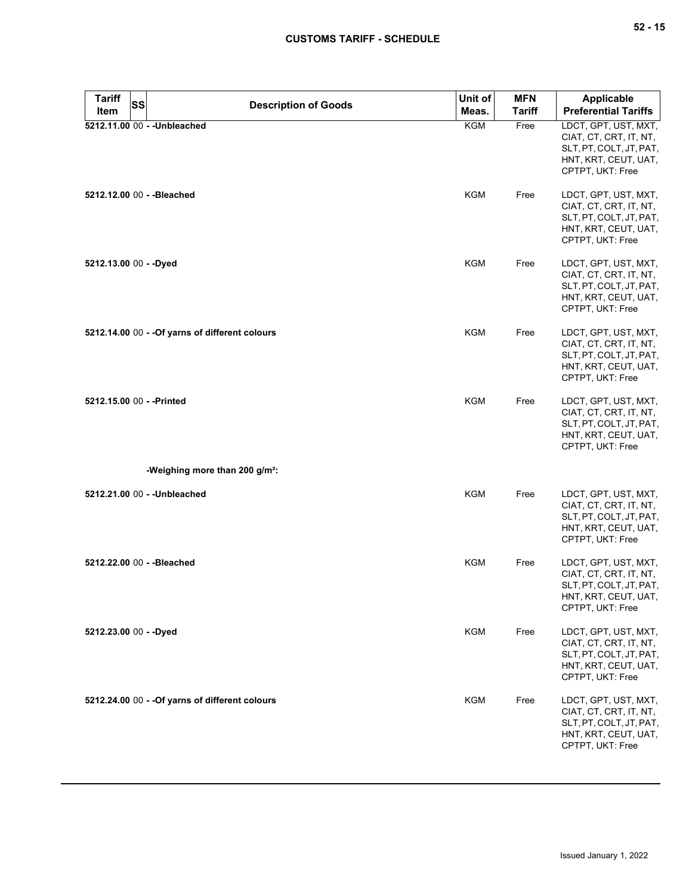| <b>Tariff</b>             | SS | <b>Description of Goods</b>                     | Unit of       | <b>MFN</b>                  | <b>Applicable</b>                                                                                                     |
|---------------------------|----|-------------------------------------------------|---------------|-----------------------------|-----------------------------------------------------------------------------------------------------------------------|
| Item                      |    | Meas.                                           | <b>Tariff</b> | <b>Preferential Tariffs</b> |                                                                                                                       |
|                           |    | 5212.11.00 00 - - Unbleached                    | KGM           | Free                        | LDCT, GPT, UST, MXT,<br>CIAT, CT, CRT, IT, NT,<br>SLT, PT, COLT, JT, PAT,<br>HNT, KRT, CEUT, UAT,<br>CPTPT, UKT: Free |
|                           |    | 5212.12.00 00 - - Bleached                      | <b>KGM</b>    | Free                        | LDCT, GPT, UST, MXT,<br>CIAT, CT, CRT, IT, NT,<br>SLT, PT, COLT, JT, PAT,<br>HNT, KRT, CEUT, UAT,<br>CPTPT, UKT: Free |
| 5212.13.00 00 - - Dyed    |    |                                                 | <b>KGM</b>    | Free                        | LDCT, GPT, UST, MXT,<br>CIAT, CT, CRT, IT, NT,<br>SLT, PT, COLT, JT, PAT,<br>HNT, KRT, CEUT, UAT,<br>CPTPT, UKT: Free |
|                           |    | 5212.14.00 00 - - Of yarns of different colours | <b>KGM</b>    | Free                        | LDCT, GPT, UST, MXT,<br>CIAT, CT, CRT, IT, NT,<br>SLT, PT, COLT, JT, PAT,<br>HNT, KRT, CEUT, UAT,<br>CPTPT, UKT: Free |
| 5212.15.00 00 - - Printed |    |                                                 | <b>KGM</b>    | Free                        | LDCT, GPT, UST, MXT,<br>CIAT, CT, CRT, IT, NT,<br>SLT, PT, COLT, JT, PAT,<br>HNT, KRT, CEUT, UAT,<br>CPTPT, UKT: Free |
|                           |    | -Weighing more than 200 g/m <sup>2</sup> :      |               |                             |                                                                                                                       |
|                           |    | 5212.21.00 00 - - Unbleached                    | <b>KGM</b>    | Free                        | LDCT, GPT, UST, MXT,<br>CIAT, CT, CRT, IT, NT,<br>SLT, PT, COLT, JT, PAT,<br>HNT, KRT, CEUT, UAT,<br>CPTPT, UKT: Free |
|                           |    | 5212.22.00 00 - - Bleached                      | <b>KGM</b>    | Free                        | LDCT, GPT, UST, MXT,<br>CIAT, CT, CRT, IT, NT,<br>SLT, PT, COLT, JT, PAT,<br>HNT, KRT, CEUT, UAT,<br>CPTPT, UKT: Free |
| 5212.23.00 00 - - Dyed    |    |                                                 | <b>KGM</b>    | Free                        | LDCT, GPT, UST, MXT,<br>CIAT, CT, CRT, IT, NT,<br>SLT, PT, COLT, JT, PAT,<br>HNT, KRT, CEUT, UAT,<br>CPTPT, UKT: Free |
|                           |    | 5212.24.00 00 - - Of yarns of different colours | <b>KGM</b>    | Free                        | LDCT, GPT, UST, MXT,<br>CIAT, CT, CRT, IT, NT,<br>SLT, PT, COLT, JT, PAT,<br>HNT, KRT, CEUT, UAT,<br>CPTPT, UKT: Free |